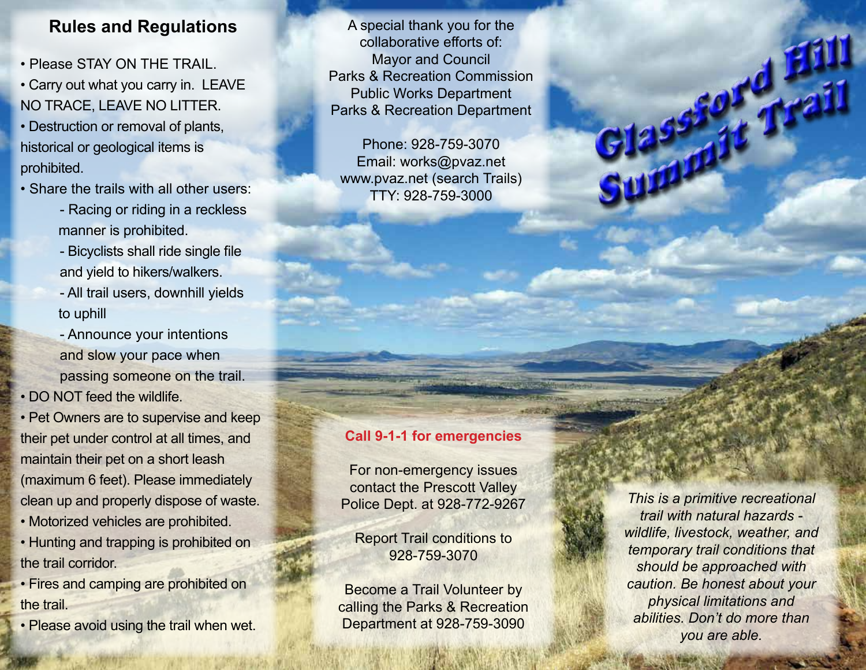## **Rules and Regulations**

- Please STAY ON THE TRAIL.
- Carry out what you carry in. LEAVE NO TRACE, LEAVE NO LITTER.
- Destruction or removal of plants, historical or geological items is prohibited.
- Share the trails with all other users:
	- Racing or riding in a reckless manner is prohibited.
	- Bicyclists shall ride single file and yield to hikers/walkers.
	- All trail users, downhill yields to uphill
	- Announce your intentions and slow your pace when passing someone on the trail.
- DO NOT feed the wildlife.
- Pet Owners are to supervise and keep their pet under control at all times, and maintain their pet on a short leash (maximum 6 feet). Please immediately clean up and properly dispose of waste.
- Motorized vehicles are prohibited.
- Hunting and trapping is prohibited on the trail corridor.
- Fires and camping are prohibited on the trail.
- Please avoid using the trail when wet.

A special thank you for the collaborative efforts of: Mayor and Council Parks & Recreation Commission Public Works Department Parks & Recreation Department

Phone: 928-759-3070 Email: works@pvaz.net www.pvaz.net (search Trails) TTY: 928-759-3000

## **Call 9-1-1 for emergencies**

For non-emergency issues contact the Prescott Valley Police Dept. at 928-772-9267

Report Trail conditions to 928-759-3070

Become a Trail Volunteer by calling the Parks & Recreation Department at 928-759-3090

*This is a primitive recreational trail with natural hazards wildlife, livestock, weather, and temporary trail conditions that should be approached with caution. Be honest about your physical limitations and abilities. Don't do more than you are able.* 

Filassa